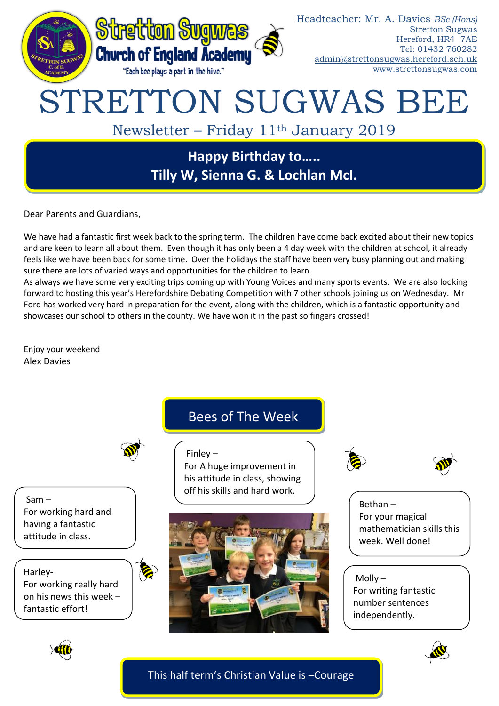

Dear Parents and Guardians,

We have had a fantastic first week back to the spring term. The children have come back excited about their new topics and are keen to learn all about them. Even though it has only been a 4 day week with the children at school, it already feels like we have been back for some time. Over the holidays the staff have been very busy planning out and making sure there are lots of varied ways and opportunities for the children to learn.

As always we have some very exciting trips coming up with Young Voices and many sports events. We are also looking forward to hosting this year's Herefordshire Debating Competition with 7 other schools joining us on Wednesday. Mr Ford has worked very hard in preparation for the event, along with the children, which is a fantastic opportunity and showcases our school to others in the county. We have won it in the past so fingers crossed!

Enjoy your weekend Alex Davies

Bees of The Week

For A huge improvement in his attitude in class, showing off his skills and hard work.

Finley –

O

Sam – For working hard and having a fantastic attitude in class.

Harley-For working really hard on his news this week – fantastic effort!







Bethan – For your magical mathematician skills this week. Well done!

 $M$ olly – For writing fantastic number sentences independently.





This half term's Christian Value is –Courage